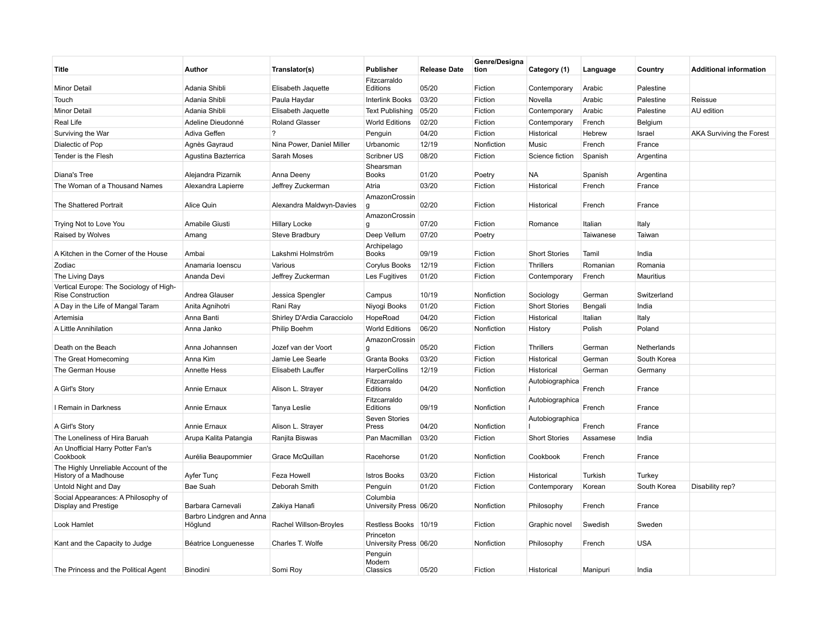| Title                                                               | Author                              | Translator(s)              | <b>Publisher</b>                    | <b>Release Date</b> | Genre/Designa<br>tion | Category (1)         | Language  | Country     | <b>Additional information</b>   |
|---------------------------------------------------------------------|-------------------------------------|----------------------------|-------------------------------------|---------------------|-----------------------|----------------------|-----------|-------------|---------------------------------|
| <b>Minor Detail</b>                                                 | Adania Shibli                       | Elisabeth Jaquette         | Fitzcarraldo<br>Editions            | 05/20               | Fiction               | Contemporary         | Arabic    | Palestine   |                                 |
| Touch                                                               | Adania Shibli                       | Paula Haydar               | <b>Interlink Books</b>              | 03/20               | Fiction               | Novella              | Arabic    | Palestine   | Reissue                         |
| <b>Minor Detail</b>                                                 | Adania Shibli                       | Elisabeth Jaquette         | <b>Text Publishing</b>              | 05/20               | Fiction               | Contemporary         | Arabic    | Palestine   | AU edition                      |
| Real Life                                                           | Adeline Dieudonné                   | <b>Roland Glasser</b>      | <b>World Editions</b>               | 02/20               | Fiction               | Contemporary         | French    | Belgium     |                                 |
| Surviving the War                                                   | Adiva Geffen                        | $\gamma$                   | Penguin                             | 04/20               | Fiction               | Historical           | Hebrew    | Israel      | <b>AKA Surviving the Forest</b> |
| Dialectic of Pop                                                    | Agnès Gayraud                       | Nina Power, Daniel Miller  | Urbanomic                           | 12/19               | Nonfiction            | Music                | French    | France      |                                 |
| Tender is the Flesh                                                 | Agustina Bazterrica                 | Sarah Moses                | Scribner US                         | 08/20               | Fiction               | Science fiction      | Spanish   | Argentina   |                                 |
| Diana's Tree                                                        | Alejandra Pizarnik                  | Anna Deeny                 | Shearsman<br><b>Books</b>           | 01/20               | Poetry                | ΝA                   | Spanish   | Argentina   |                                 |
| The Woman of a Thousand Names                                       | Alexandra Lapierre                  | Jeffrey Zuckerman          | Atria                               | 03/20               | Fiction               | Historical           | French    | France      |                                 |
| The Shattered Portrait                                              | Alice Quin                          | Alexandra Maldwyn-Davies   | AmazonCrossin<br>g                  | 02/20               | Fiction               | Historical           | French    | France      |                                 |
| Trying Not to Love You                                              | Amabile Giusti                      | <b>Hillary Locke</b>       | AmazonCrossin<br>$\mathbf{q}$       | 07/20               | Fiction               | Romance              | Italian   | Italy       |                                 |
| Raised by Wolves                                                    | Amang                               | Steve Bradbury             | Deep Vellum                         | 07/20               | Poetry                |                      | Taiwanese | Taiwan      |                                 |
| A Kitchen in the Corner of the House                                | Ambai                               | Lakshmi Holmström          | Archipelago<br><b>Books</b>         | 09/19               | Fiction               | <b>Short Stories</b> | Tamil     | India       |                                 |
| Zodiac                                                              | Anamaria loenscu                    | Various                    | <b>Corylus Books</b>                | 12/19               | Fiction               | Thrillers            | Romanian  | Romania     |                                 |
| The Living Days                                                     | Ananda Devi                         | Jeffrey Zuckerman          | Les Fugitives                       | 01/20               | Fiction               | Contemporary         | French    | Mauritius   |                                 |
| Vertical Europe: The Sociology of High-<br><b>Rise Construction</b> | Andrea Glauser                      | Jessica Spengler           | Campus                              | 10/19               | Nonfiction            | Sociology            | German    | Switzerland |                                 |
| A Day in the Life of Mangal Taram                                   | Anita Agnihotri                     | Rani Ray                   | Niyogi Books                        | 01/20               | Fiction               | <b>Short Stories</b> | Bengali   | India       |                                 |
| Artemisia                                                           | Anna Banti                          | Shirley D'Ardia Caracciolo | HopeRoad                            | 04/20               | Fiction               | Historical           | Italian   | Italy       |                                 |
| A Little Annihilation                                               | Anna Janko                          | Philip Boehm               | <b>World Editions</b>               | 06/20               | Nonfiction            | History              | Polish    | Poland      |                                 |
| Death on the Beach                                                  | Anna Johannsen                      | Jozef van der Voort        | AmazonCrossin<br>g                  | 05/20               | Fiction               | <b>Thrillers</b>     | German    | Netherlands |                                 |
| The Great Homecoming                                                | Anna Kim                            | Jamie Lee Searle           | Granta Books                        | 03/20               | Fiction               | Historical           | German    | South Korea |                                 |
| The German House                                                    | <b>Annette Hess</b>                 | Elisabeth Lauffer          | HarperCollins                       | 12/19               | Fiction               | Historical           | German    | Germany     |                                 |
| A Girl's Story                                                      | Annie Ernaux                        | Alison L. Strayer          | Fitzcarraldo<br>Editions            | 04/20               | Nonfiction            | Autobiographica      | French    | France      |                                 |
| I Remain in Darkness                                                | Annie Ernaux                        | Tanya Leslie               | Fitzcarraldo<br>Editions            | 09/19               | Nonfiction            | Autobiographica      | French    | France      |                                 |
| A Girl's Story                                                      | Annie Ernaux                        | Alison L. Strayer          | Seven Stories<br>Press              | 04/20               | Nonfiction            | Autobiographica      | French    | France      |                                 |
| The Loneliness of Hira Baruah                                       | Arupa Kalita Patangia               | Ranjita Biswas             | Pan Macmillan                       | 03/20               | Fiction               | <b>Short Stories</b> | Assamese  | India       |                                 |
| An Unofficial Harry Potter Fan's<br>Cookbook                        | Aurélia Beaupommier                 | Grace McQuillan            | Racehorse                           | 01/20               | Nonfiction            | Cookbook             | French    | France      |                                 |
| The Highly Unreliable Account of the<br>History of a Madhouse       | Ayfer Tunç                          | Feza Howell                | <b>Istros Books</b>                 | 03/20               | Fiction               | Historical           | Turkish   | Turkey      |                                 |
| Untold Night and Day                                                | Bae Suah                            | Deborah Smith              | Penguin                             | 01/20               | Fiction               | Contemporary         | Korean    | South Korea | Disability rep?                 |
| Social Appearances: A Philosophy of<br>Display and Prestige         | Barbara Carnevali                   | Zakiya Hanafi              | Columbia<br>University Press 06/20  |                     | Nonfiction            | Philosophy           | French    | France      |                                 |
| Look Hamlet                                                         | Barbro Lindgren and Anna<br>Höglund | Rachel Willson-Broyles     | Restless Books   10/19              |                     | Fiction               | Graphic novel        | Swedish   | Sweden      |                                 |
| Kant and the Capacity to Judge                                      | Béatrice Longuenesse                | Charles T. Wolfe           | Princeton<br>University Press 06/20 |                     | Nonfiction            | Philosophy           | French    | <b>USA</b>  |                                 |
| The Princess and the Political Agent                                | Binodini                            | Somi Roy                   | Penguin<br>Modern<br>Classics       | 05/20               | Fiction               | Historical           | Manipuri  | India       |                                 |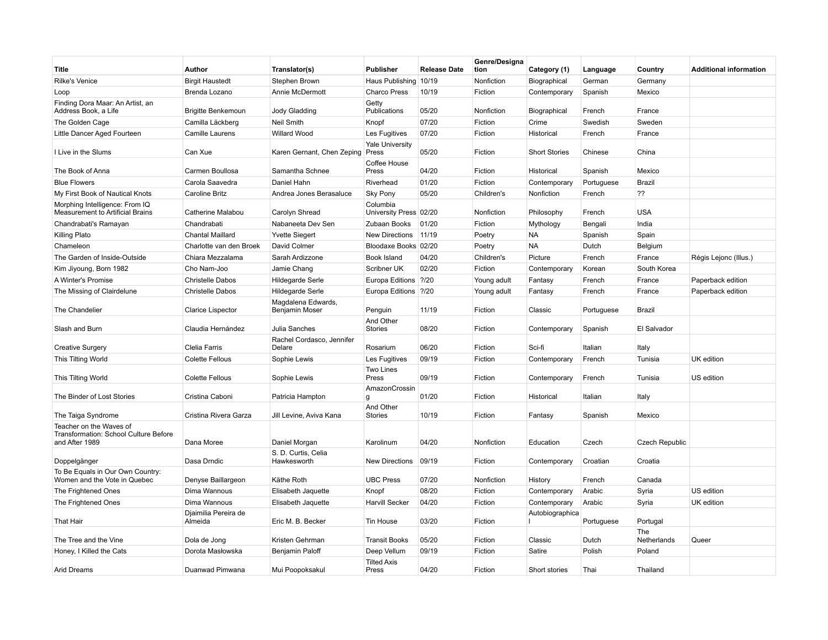| Title                                                                              | Author                          | Translator(s)                        | <b>Publisher</b>                   | <b>Release Date</b> | Genre/Designa<br>tion | Category (1)         | Language   | Country               | <b>Additional information</b> |
|------------------------------------------------------------------------------------|---------------------------------|--------------------------------------|------------------------------------|---------------------|-----------------------|----------------------|------------|-----------------------|-------------------------------|
| <b>Rilke's Venice</b>                                                              | <b>Birgit Haustedt</b>          | Stephen Brown                        | Haus Publishing 10/19              |                     | Nonfiction            | Biographical         | German     | Germany               |                               |
| Loop                                                                               | Brenda Lozano                   | Annie McDermott                      | <b>Charco Press</b>                | 10/19               | Fiction               | Contemporary         | Spanish    | Mexico                |                               |
| Finding Dora Maar: An Artist, an<br>Address Book, a Life                           | <b>Brigitte Benkemoun</b>       | <b>Jody Gladding</b>                 | Getty<br>Publications              | 05/20               | Nonfiction            | Biographical         | French     | France                |                               |
| The Golden Cage                                                                    | Camilla Läckberg                | Neil Smith                           | Knopf                              | 07/20               | Fiction               | Crime                | Swedish    | Sweden                |                               |
| Little Dancer Aged Fourteen                                                        | Camille Laurens                 | Willard Wood                         | Les Fugitives                      | 07/20               | Fiction               | Historical           | French     | France                |                               |
| I Live in the Slums                                                                | Can Xue                         | Karen Gernant, Chen Zeping           | <b>Yale University</b><br>Press    | 05/20               | Fiction               | <b>Short Stories</b> | Chinese    | China                 |                               |
| The Book of Anna                                                                   | Carmen Boullosa                 | Samantha Schnee                      | Coffee House<br>Press              | 04/20               | Fiction               | Historical           | Spanish    | Mexico                |                               |
| <b>Blue Flowers</b>                                                                | Carola Saavedra                 | Daniel Hahn                          | Riverhead                          | 01/20               | Fiction               | Contemporary         | Portuguese | Brazil                |                               |
| My First Book of Nautical Knots                                                    | <b>Caroline Britz</b>           | Andrea Jones Berasaluce              | <b>Sky Pony</b>                    | 05/20               | Children's            | Nonfiction           | French     | ??                    |                               |
| Morphing Intelligence: From IQ<br><b>Measurement to Artificial Brains</b>          | Catherine Malabou               | Carolyn Shread                       | Columbia<br>University Press 02/20 |                     | Nonfiction            | Philosophy           | French     | <b>USA</b>            |                               |
| Chandrabati's Ramayan                                                              | Chandrabati                     | Nabaneeta Dev Sen                    | Zubaan Books                       | 01/20               | Fiction               | Mythology            | Bengali    | India                 |                               |
| Killing Plato                                                                      | <b>Chantal Maillard</b>         | <b>Yvette Siegert</b>                | <b>New Directions</b>              | 11/19               | Poetry                | NA                   | Spanish    | Spain                 |                               |
| Chameleon                                                                          | Charlotte van den Broek         | David Colmer                         | Bloodaxe Books 02/20               |                     | Poetry                | NA                   | Dutch      | Belgium               |                               |
| The Garden of Inside-Outside                                                       | Chiara Mezzalama                | Sarah Ardizzone                      | Book Island                        | 04/20               | Children's            | Picture              | French     | France                | Régis Lejonc (Illus.)         |
| Kim Jiyoung, Born 1982                                                             | Cho Nam-Joo                     | Jamie Chang                          | Scribner UK                        | 02/20               | Fiction               | Contemporary         | Korean     | South Korea           |                               |
| A Winter's Promise                                                                 | <b>Christelle Dabos</b>         | Hildegarde Serle                     | Europa Editions ?/20               |                     | Young adult           | Fantasy              | French     | France                | Paperback edition             |
| The Missing of Clairdelune                                                         | <b>Christelle Dabos</b>         | <b>Hildegarde Serle</b>              | Europa Editions   ?/20             |                     | Young adult           | Fantasy              | French     | France                | Paperback edition             |
| The Chandelier                                                                     | <b>Clarice Lispector</b>        | Magdalena Edwards,<br>Benjamin Moser | Penguin                            | 11/19               | Fiction               | Classic              | Portuguese | Brazil                |                               |
| Slash and Burn                                                                     | Claudia Hernández               | Julia Sanches                        | And Other<br>Stories               | 08/20               | Fiction               | Contemporary         | Spanish    | El Salvador           |                               |
| <b>Creative Surgery</b>                                                            | Clelia Farris                   | Rachel Cordasco, Jennifer<br>Delare  | Rosarium                           | 06/20               | Fiction               | Sci-fi               | Italian    | Italy                 |                               |
| This Tilting World                                                                 | <b>Colette Fellous</b>          | Sophie Lewis                         | Les Fugitives                      | 09/19               | Fiction               | Contemporary         | French     | Tunisia               | UK edition                    |
| This Tilting World                                                                 | <b>Colette Fellous</b>          | Sophie Lewis                         | Two Lines<br>Press                 | 09/19               | Fiction               | Contemporary         | French     | Tunisia               | US edition                    |
| The Binder of Lost Stories                                                         | Cristina Caboni                 | Patricia Hampton                     | AmazonCrossin<br>g                 | 01/20               | Fiction               | Historical           | Italian    | Italy                 |                               |
| The Taiga Syndrome                                                                 | Cristina Rivera Garza           | Jill Levine, Aviva Kana              | And Other<br><b>Stories</b>        | 10/19               | Fiction               | Fantasy              | Spanish    | Mexico                |                               |
| Teacher on the Waves of<br>Transformation: School Culture Before<br>and After 1989 | Dana Moree                      | Daniel Morgan                        | Karolinum                          | 04/20               | Nonfiction            | Education            | Czech      | <b>Czech Republic</b> |                               |
| Doppelgänger                                                                       | Dasa Drndic                     | S. D. Curtis, Celia<br>Hawkesworth   | <b>New Directions</b>              | 09/19               | Fiction               | Contemporary         | Croatian   | Croatia               |                               |
| To Be Equals in Our Own Country:<br>Women and the Vote in Quebec                   | Denyse Baillargeon              | Käthe Roth                           | <b>UBC Press</b>                   | 07/20               | Nonfiction            | History              | French     | Canada                |                               |
| The Frightened Ones                                                                | Dima Wannous                    | Elisabeth Jaquette                   | Knopf                              | 08/20               | Fiction               | Contemporary         | Arabic     | Syria                 | US edition                    |
| The Frightened Ones                                                                | Dima Wannous                    | Elisabeth Jaquette                   | <b>Harvill Secker</b>              | 04/20               | Fiction               | Contemporary         | Arabic     | Syria                 | UK edition                    |
| <b>That Hair</b>                                                                   | Diaimilia Pereira de<br>Almeida | Eric M. B. Becker                    | Tin House                          | 03/20               | Fiction               | Autobiographica      | Portuguese | Portugal              |                               |
|                                                                                    |                                 |                                      |                                    |                     |                       |                      |            | The                   |                               |
| The Tree and the Vine                                                              | Dola de Jong                    | Kristen Gehrman                      | <b>Transit Books</b>               | 05/20               | Fiction               | Classic              | Dutch      | Netherlands           | Queer                         |
| Honey, I Killed the Cats                                                           | Dorota Masłowska                | Benjamin Paloff                      | Deep Vellum                        | 09/19               | Fiction               | Satire               | Polish     | Poland                |                               |
| <b>Arid Dreams</b>                                                                 | Duanwad Pimwana                 | Mui Poopoksakul                      | <b>Tilted Axis</b><br>Press        | 04/20               | Fiction               | Short stories        | Thai       | Thailand              |                               |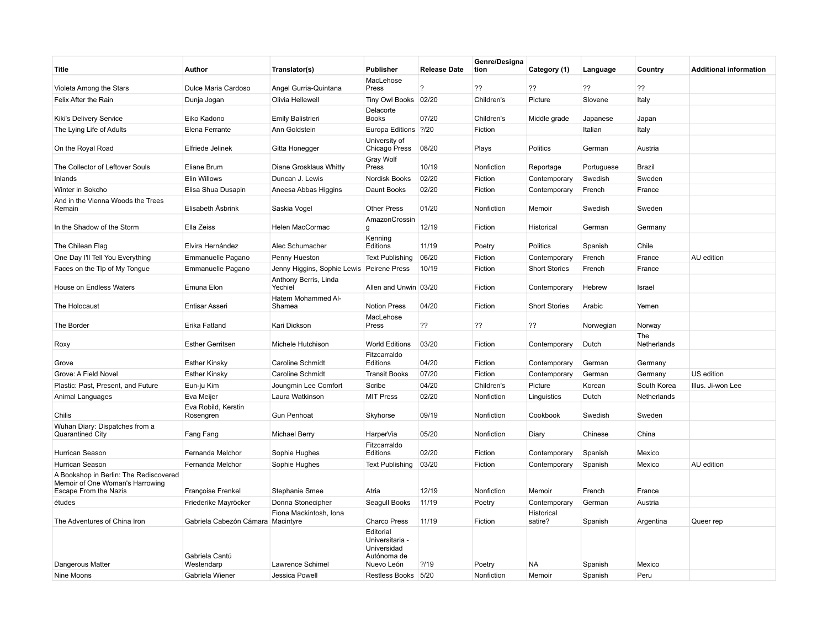| Title                                                                                              | Author                            | Translator(s)                    | <b>Publisher</b>                                                         | <b>Release Date</b>   | Genre/Designa<br>tion | Category (1)          | Language   | Country            | <b>Additional information</b> |
|----------------------------------------------------------------------------------------------------|-----------------------------------|----------------------------------|--------------------------------------------------------------------------|-----------------------|-----------------------|-----------------------|------------|--------------------|-------------------------------|
| Violeta Among the Stars                                                                            | Dulce Maria Cardoso               | Angel Gurria-Quintana            | MacLehose<br>Press                                                       | $\boldsymbol{\gamma}$ | ??                    | ??                    | ??         | ??                 |                               |
| Felix After the Rain                                                                               | Dunja Jogan                       | Olivia Hellewell                 | Tiny Owl Books 02/20                                                     |                       | Children's            | Picture               | Slovene    | Italy              |                               |
| Kiki's Delivery Service                                                                            | Eiko Kadono                       | <b>Emily Balistrieri</b>         | Delacorte<br><b>Books</b>                                                | 07/20                 | Children's            | Middle grade          | Japanese   | Japan              |                               |
| The Lying Life of Adults                                                                           | Elena Ferrante                    | Ann Goldstein                    | Europa Editions   ?/20                                                   |                       | Fiction               |                       | Italian    | Italy              |                               |
| On the Royal Road                                                                                  | Elfriede Jelinek                  | Gitta Honegger                   | University of<br>Chicago Press                                           | 08/20                 | Plays                 | <b>Politics</b>       | German     | Austria            |                               |
| The Collector of Leftover Souls                                                                    | Eliane Brum                       | Diane Grosklaus Whitty           | Gray Wolf<br>Press                                                       | 10/19                 | Nonfiction            | Reportage             | Portuguese | <b>Brazil</b>      |                               |
| Inlands                                                                                            | Elin Willows                      | Duncan J. Lewis                  | Nordisk Books                                                            | 02/20                 | Fiction               | Contemporary          | Swedish    | Sweden             |                               |
| Winter in Sokcho                                                                                   | Elisa Shua Dusapin                | Aneesa Abbas Higgins             | Daunt Books                                                              | 02/20                 | Fiction               | Contemporary          | French     | France             |                               |
| And in the Vienna Woods the Trees<br>Remain                                                        | Elisabeth Åsbrink                 | Saskia Vogel                     | <b>Other Press</b>                                                       | 01/20                 | Nonfiction            | Memoir                | Swedish    | Sweden             |                               |
| In the Shadow of the Storm                                                                         | Ella Zeiss                        | Helen MacCormac                  | AmazonCrossin<br>q                                                       | 12/19                 | Fiction               | Historical            | German     | Germany            |                               |
| The Chilean Flag                                                                                   | Elvira Hernández                  | Alec Schumacher                  | Kenning<br>Editions                                                      | 11/19                 | Poetry                | <b>Politics</b>       | Spanish    | Chile              |                               |
| One Day I'll Tell You Everything                                                                   | Emmanuelle Pagano                 | Penny Hueston                    | <b>Text Publishing</b>                                                   | 06/20                 | Fiction               | Contemporary          | French     | France             | AU edition                    |
| Faces on the Tip of My Tongue                                                                      | Emmanuelle Pagano                 | Jenny Higgins, Sophie Lewis      | Peirene Press                                                            | 10/19                 | Fiction               | <b>Short Stories</b>  | French     | France             |                               |
| House on Endless Waters                                                                            | Emuna Elon                        | Anthony Berris, Linda<br>Yechiel | Allen and Unwin 03/20                                                    |                       | Fiction               | Contemporary          | Hebrew     | Israel             |                               |
| The Holocaust                                                                                      | Entisar Asseri                    | Hatem Mohammed Al-<br>Shamea     | <b>Notion Press</b>                                                      | 04/20                 | Fiction               | <b>Short Stories</b>  | Arabic     | Yemen              |                               |
| The Border                                                                                         | Erika Fatland                     | Kari Dickson                     | MacLehose<br>Press                                                       | ??                    | ??                    | ??                    | Norwegian  | Norway             |                               |
| Roxy                                                                                               | <b>Esther Gerritsen</b>           | Michele Hutchison                | <b>World Editions</b>                                                    | 03/20                 | Fiction               | Contemporary          | Dutch      | The<br>Netherlands |                               |
| Grove                                                                                              | <b>Esther Kinsky</b>              | Caroline Schmidt                 | Fitzcarraldo<br>Editions                                                 | 04/20                 | Fiction               | Contemporary          | German     | Germany            |                               |
| Grove: A Field Novel                                                                               | <b>Esther Kinsky</b>              | Caroline Schmidt                 | <b>Transit Books</b>                                                     | 07/20                 | Fiction               | Contemporary          | German     | Germany            | US edition                    |
| Plastic: Past, Present, and Future                                                                 | Eun-ju Kim                        | Joungmin Lee Comfort             | Scribe                                                                   | 04/20                 | Children's            | Picture               | Korean     | South Korea        | Illus. Ji-won Lee             |
| Animal Languages                                                                                   | Eva Meijer                        | Laura Watkinson                  | <b>MIT Press</b>                                                         | 02/20                 | Nonfiction            | Linguistics           | Dutch      | Netherlands        |                               |
| Chilis                                                                                             | Eva Robild, Kerstin<br>Rosengren  | <b>Gun Penhoat</b>               | Skyhorse                                                                 | 09/19                 | Nonfiction            | Cookbook              | Swedish    | Sweden             |                               |
| Wuhan Diary: Dispatches from a<br>Quarantined City                                                 | Fang Fang                         | Michael Berry                    | HarperVia                                                                | 05/20                 | Nonfiction            | Diary                 | Chinese    | China              |                               |
| Hurrican Season                                                                                    | Fernanda Melchor                  | Sophie Hughes                    | Fitzcarraldo<br>Editions                                                 | 02/20                 | Fiction               | Contemporary          | Spanish    | Mexico             |                               |
| Hurrican Season                                                                                    | Fernanda Melchor                  | Sophie Hughes                    | <b>Text Publishing</b>                                                   | 03/20                 | Fiction               | Contemporary          | Spanish    | Mexico             | AU edition                    |
| A Bookshop in Berlin: The Rediscovered<br>Memoir of One Woman's Harrowing<br>Escape From the Nazis | Françoise Frenkel                 | Stephanie Smee                   | Atria                                                                    | 12/19                 | Nonfiction            | Memoir                | French     | France             |                               |
| études                                                                                             | Friederike Mayröcker              | Donna Stonecipher                | Seagull Books                                                            | 11/19                 | Poetry                | Contemporary          | German     | Austria            |                               |
| The Adventures of China Iron                                                                       | Gabriela Cabezón Cámara Macintyre | Fiona Mackintosh, Iona           | <b>Charco Press</b>                                                      | 11/19                 | Fiction               | Historical<br>satire? | Spanish    | Argentina          | Queer rep                     |
| Dangerous Matter                                                                                   | Gabriela Cantú<br>Westendarp      | Lawrence Schimel                 | Editorial<br>Universitaria -<br>Universidad<br>Autónoma de<br>Nuevo León | ?19                   | Poetry                | <b>NA</b>             | Spanish    | Mexico             |                               |
| Nine Moons                                                                                         | Gabriela Wiener                   | Jessica Powell                   | Restless Books 5/20                                                      |                       | Nonfiction            | Memoir                | Spanish    | Peru               |                               |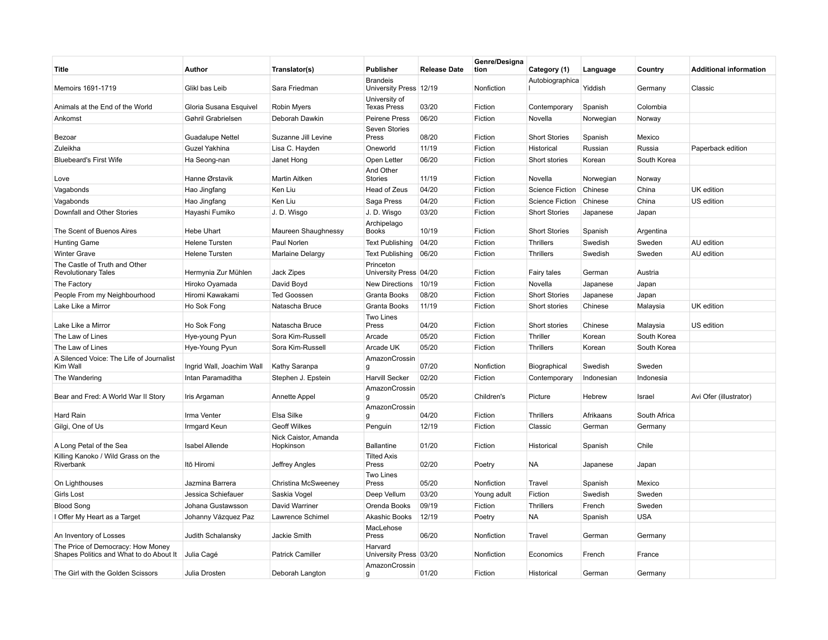| Title                                                                        | Author                    | Translator(s)                     | <b>Publisher</b>                          | <b>Release Date</b> | Genre/Designa<br>tion | Category (1)           | Language   | Country      | <b>Additional information</b> |
|------------------------------------------------------------------------------|---------------------------|-----------------------------------|-------------------------------------------|---------------------|-----------------------|------------------------|------------|--------------|-------------------------------|
| Memoirs 1691-1719                                                            | Glikl bas Leib            | Sara Friedman                     | <b>Brandeis</b><br>University Press 12/19 |                     | Nonfiction            | Autobiographica        | Yiddish    | Germany      | Classic                       |
| Animals at the End of the World                                              | Gloria Susana Esquivel    | <b>Robin Myers</b>                | University of<br><b>Texas Press</b>       | 03/20               | Fiction               | Contemporary           | Spanish    | Colombia     |                               |
| Ankomst                                                                      | Gøhril Grabrielsen        | Deborah Dawkin                    | <b>Peirene Press</b>                      | 06/20               | Fiction               | Novella                | Norwegian  | Norway       |                               |
| Bezoar                                                                       | <b>Guadalupe Nettel</b>   | Suzanne Jill Levine               | Seven Stories<br>Press                    | 08/20               | Fiction               | <b>Short Stories</b>   | Spanish    | Mexico       |                               |
| Zuleikha                                                                     | Guzel Yakhina             | Lisa C. Hayden                    | Oneworld                                  | 11/19               | Fiction               | Historical             | Russian    | Russia       | Paperback edition             |
| <b>Bluebeard's First Wife</b>                                                | Ha Seong-nan              | Janet Hong                        | Open Letter                               | 06/20               | Fiction               | Short stories          | Korean     | South Korea  |                               |
| Love                                                                         | Hanne Ørstavik            | <b>Martin Aitken</b>              | And Other<br>Stories                      | 11/19               | Fiction               | Novella                | Norwegian  | Norway       |                               |
| Vagabonds                                                                    | Hao Jingfang              | Ken Liu                           | Head of Zeus                              | 04/20               | Fiction               | <b>Science Fiction</b> | Chinese    | China        | UK edition                    |
| Vagabonds                                                                    | Hao Jingfang              | Ken Liu                           | Saga Press                                | 04/20               | Fiction               | <b>Science Fiction</b> | Chinese    | China        | US edition                    |
| Downfall and Other Stories                                                   | Hayashi Fumiko            | J.D. Wisgo                        | J. D. Wisgo                               | 03/20               | Fiction               | <b>Short Stories</b>   | Japanese   | Japan        |                               |
| The Scent of Buenos Aires                                                    | <b>Hebe Uhart</b>         | Maureen Shaughnessy               | Archipelago<br><b>Books</b>               | 10/19               | Fiction               | <b>Short Stories</b>   | Spanish    | Argentina    |                               |
| <b>Hunting Game</b>                                                          | <b>Helene Tursten</b>     | Paul Norlen                       | <b>Text Publishing</b>                    | 04/20               | Fiction               | <b>Thrillers</b>       | Swedish    | Sweden       | AU edition                    |
| <b>Winter Grave</b>                                                          | <b>Helene Tursten</b>     | Marlaine Delargy                  | <b>Text Publishing</b>                    | 06/20               | Fiction               | <b>Thrillers</b>       | Swedish    | Sweden       | AU edition                    |
| The Castle of Truth and Other<br><b>Revolutionary Tales</b>                  | Hermynia Zur Mühlen       | Jack Zipes                        | Princeton<br>University Press 04/20       |                     | Fiction               | <b>Fairy tales</b>     | German     | Austria      |                               |
| The Factory                                                                  | Hiroko Oyamada            | David Boyd                        | <b>New Directions</b>                     | 10/19               | Fiction               | Novella                | Japanese   | Japan        |                               |
| People From my Neighbourhood                                                 | Hiromi Kawakami           | <b>Ted Goossen</b>                | Granta Books                              | 08/20               | Fiction               | <b>Short Stories</b>   | Japanese   | Japan        |                               |
| Lake Like a Mirror                                                           | Ho Sok Fong               | Natascha Bruce                    | Granta Books                              | 11/19               | Fiction               | Short stories          | Chinese    | Malaysia     | UK edition                    |
| Lake Like a Mirror                                                           | Ho Sok Fong               | Natascha Bruce                    | <b>Two Lines</b><br>Press                 | 04/20               | Fiction               | Short stories          | Chinese    | Malaysia     | US edition                    |
| The Law of Lines                                                             | Hye-young Pyun            | Sora Kim-Russell                  | Arcade                                    | 05/20               | Fiction               | Thriller               | Korean     | South Korea  |                               |
| The Law of Lines                                                             | Hye-Young Pyun            | Sora Kim-Russell                  | Arcade UK                                 | 05/20               | Fiction               | <b>Thrillers</b>       | Korean     | South Korea  |                               |
| A Silenced Voice: The Life of Journalist                                     |                           |                                   | AmazonCrossin                             |                     |                       |                        |            |              |                               |
| Kim Wall                                                                     | Ingrid Wall, Joachim Wall | Kathy Saranpa                     | g                                         | 07/20               | Nonfiction            | Biographical           | Swedish    | Sweden       |                               |
| The Wandering                                                                | Intan Paramaditha         | Stephen J. Epstein                | <b>Harvill Secker</b>                     | 02/20               | Fiction               | Contemporary           | Indonesian | Indonesia    |                               |
| Bear and Fred: A World War II Story                                          | Iris Argaman              | Annette Appel                     | AmazonCrossin<br>g                        | 05/20               | Children's            | Picture                | Hebrew     | Israel       | Avi Ofer (illustrator)        |
| Hard Rain                                                                    | Irma Venter               | Elsa Silke                        | AmazonCrossin<br>g                        | 04/20               | Fiction               | <b>Thrillers</b>       | Afrikaans  | South Africa |                               |
| Gilgi, One of Us                                                             | Irmgard Keun              | <b>Geoff Wilkes</b>               | Penguin                                   | 12/19               | Fiction               | Classic                | German     | Germany      |                               |
| A Long Petal of the Sea                                                      | Isabel Allende            | Nick Caistor, Amanda<br>Hopkinson | <b>Ballantine</b>                         | 01/20               | Fiction               | Historical             | Spanish    | Chile        |                               |
| Killing Kanoko / Wild Grass on the<br>Riverbank                              | Itō Hiromi                | Jeffrey Angles                    | <b>Tilted Axis</b><br>Press               | 02/20               | Poetry                | ΝA                     | Japanese   | Japan        |                               |
| On Lighthouses                                                               | Jazmina Barrera           | Christina McSweeney               | Two Lines<br>Press                        | 05/20               | Nonfiction            | Travel                 | Spanish    | Mexico       |                               |
| <b>Girls Lost</b>                                                            | Jessica Schiefauer        | Saskia Vogel                      | Deep Vellum                               | 03/20               | Young adult           | Fiction                | Swedish    | Sweden       |                               |
| <b>Blood Song</b>                                                            | Johana Gustawsson         | David Warriner                    | Orenda Books                              | 09/19               | Fiction               | <b>Thrillers</b>       | French     | Sweden       |                               |
| I Offer My Heart as a Target                                                 | Johanny Vázquez Paz       | Lawrence Schimel                  | Akashic Books                             | 12/19               | Poetry                | NA                     | Spanish    | <b>USA</b>   |                               |
| An Inventory of Losses                                                       | Judith Schalansky         | Jackie Smith                      | MacLehose<br>Press                        | 06/20               | Nonfiction            | Travel                 | German     | Germany      |                               |
| The Price of Democracy: How Money<br>Shapes Politics and What to do About It | Julia Cagé                | <b>Patrick Camiller</b>           | Harvard<br>University Press 03/20         |                     | Nonfiction            | Economics              | French     | France       |                               |
| The Girl with the Golden Scissors                                            | Julia Drosten             | Deborah Langton                   | AmazonCrossin<br>q                        | 01/20               | Fiction               | Historical             | German     | Germany      |                               |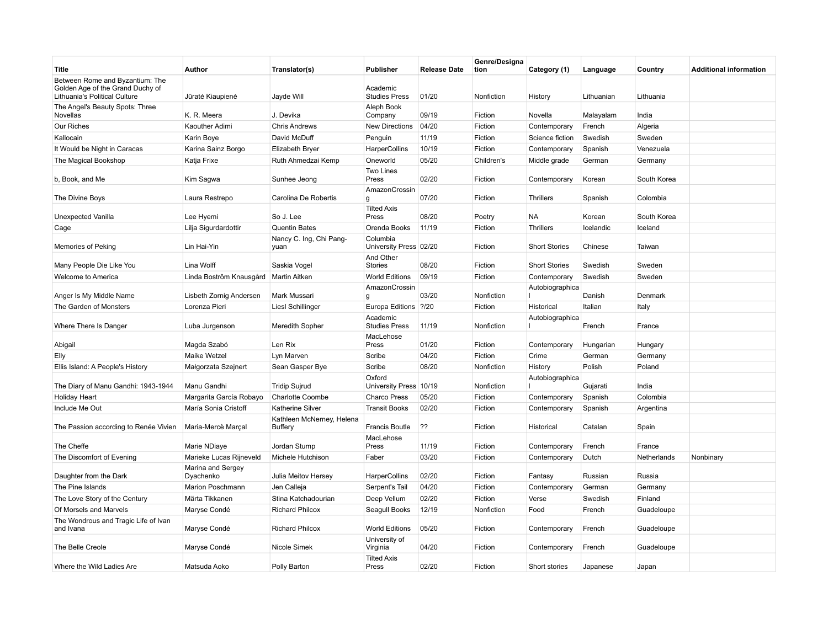| Title                                                                                                | Author                         | Translator(s)                               | Publisher                          | <b>Release Date</b> | Genre/Designa<br>tion | Category (1)         | Language   | Country     | <b>Additional information</b> |
|------------------------------------------------------------------------------------------------------|--------------------------------|---------------------------------------------|------------------------------------|---------------------|-----------------------|----------------------|------------|-------------|-------------------------------|
| Between Rome and Byzantium: The<br>Golden Age of the Grand Duchy of<br>Lithuania's Political Culture | Jūratė Kiaupienė               | Jayde Will                                  | Academic<br><b>Studies Press</b>   | 01/20               | Nonfiction            | History              | Lithuanian | Lithuania   |                               |
| The Angel's Beauty Spots: Three<br>Novellas                                                          | K. R. Meera                    | J. Devika                                   | Aleph Book<br>Company              | 09/19               | Fiction               | Novella              | Malayalam  | India       |                               |
| Our Riches                                                                                           | Kaouther Adimi                 | <b>Chris Andrews</b>                        | <b>New Directions</b>              | 04/20               | Fiction               | Contemporary         | French     | Algeria     |                               |
| Kallocain                                                                                            | Karin Boye                     | David McDuff                                | Penguin                            | 11/19               | Fiction               | Science fiction      | Swedish    | Sweden      |                               |
| It Would be Night in Caracas                                                                         | Karina Sainz Borgo             | Elizabeth Bryer                             | HarperCollins                      | 10/19               | Fiction               | Contemporary         | Spanish    | Venezuela   |                               |
| The Magical Bookshop                                                                                 | Katja Frixe                    | Ruth Ahmedzai Kemp                          | Oneworld                           | 05/20               | Children's            | Middle grade         | German     | Germany     |                               |
| b, Book, and Me                                                                                      | Kim Sagwa                      | Sunhee Jeong                                | Two Lines<br>Press                 | 02/20               | Fiction               | Contemporary         | Korean     | South Korea |                               |
| The Divine Boys                                                                                      | Laura Restrepo                 | Carolina De Robertis                        | AmazonCrossin<br>g                 | 07/20               | Fiction               | <b>Thrillers</b>     | Spanish    | Colombia    |                               |
| Unexpected Vanilla                                                                                   | Lee Hyemi                      | So J. Lee                                   | <b>Tilted Axis</b><br>Press        | 08/20               | Poetry                | NA                   | Korean     | South Korea |                               |
| Cage                                                                                                 | Lilja Sigurdardottir           | <b>Quentin Bates</b>                        | Orenda Books                       | 11/19               | Fiction               | <b>Thrillers</b>     | Icelandic  | Iceland     |                               |
| Memories of Peking                                                                                   | Lin Hai-Yin                    | Nancy C. Ing, Chi Pang-<br>yuan             | Columbia<br>University Press 02/20 |                     | Fiction               | <b>Short Stories</b> | Chinese    | Taiwan      |                               |
| Many People Die Like You                                                                             | Lina Wolff                     | Saskia Vogel                                | And Other<br>Stories               | 08/20               | Fiction               | <b>Short Stories</b> | Swedish    | Sweden      |                               |
| Welcome to America                                                                                   | Linda Boström Knausgård        | Martin Aitken                               | <b>World Editions</b>              | 09/19               | Fiction               | Contemporary         | Swedish    | Sweden      |                               |
| Anger Is My Middle Name                                                                              | Lisbeth Zornig Andersen        | Mark Mussari                                | AmazonCrossin<br>g                 | 03/20               | Nonfiction            | Autobiographica      | Danish     | Denmark     |                               |
| The Garden of Monsters                                                                               | Lorenza Pieri                  | <b>LiesI Schillinger</b>                    | Europa Editions ?/20               |                     | Fiction               | Historical           | Italian    | Italy       |                               |
| Where There Is Danger                                                                                | Luba Jurgenson                 | Meredith Sopher                             | Academic<br><b>Studies Press</b>   | 11/19               | Nonfiction            | Autobiographica      | French     | France      |                               |
| Abigail                                                                                              | Magda Szabó                    | Len Rix                                     | MacLehose<br>Press                 | 01/20               | Fiction               | Contemporary         | Hungarian  | Hungary     |                               |
| Elly                                                                                                 | Maike Wetzel                   | Lyn Marven                                  | Scribe                             | 04/20               | Fiction               | Crime                | German     | Germany     |                               |
| Ellis Island: A People's History                                                                     | Małgorzata Szejnert            | Sean Gasper Bye                             | Scribe                             | 08/20               | Nonfiction            | History              | Polish     | Poland      |                               |
| The Diary of Manu Gandhi: 1943-1944                                                                  | Manu Gandhi                    | <b>Tridip Sujrud</b>                        | Oxford<br>University Press 10/19   |                     | Nonfiction            | Autobiographica      | Gujarati   | India       |                               |
| <b>Holiday Heart</b>                                                                                 | Margarita García Robayo        | <b>Charlotte Coombe</b>                     | <b>Charco Press</b>                | 05/20               | Fiction               | Contemporary         | Spanish    | Colombia    |                               |
| Include Me Out                                                                                       | María Sonia Cristoff           | <b>Katherine Silver</b>                     | <b>Transit Books</b>               | 02/20               | Fiction               | Contemporary         | Spanish    | Argentina   |                               |
| The Passion according to Renée Vivien                                                                | Maria-Mercè Marçal             | Kathleen McNerney, Helena<br><b>Buffery</b> | <b>Francis Boutle</b>              | ??                  | Fiction               | Historical           | Catalan    | Spain       |                               |
| The Cheffe                                                                                           | Marie NDiaye                   | Jordan Stump                                | MacLehose<br>Press                 | 11/19               | Fiction               | Contemporary         | French     | France      |                               |
| The Discomfort of Evening                                                                            | Marieke Lucas Rijneveld        | Michele Hutchison                           | Faber                              | 03/20               | Fiction               | Contemporary         | Dutch      | Netherlands | Nonbinary                     |
| Daughter from the Dark                                                                               | Marina and Sergey<br>Dyachenko | Julia Meitov Hersey                         | HarperCollins                      | 02/20               | Fiction               | Fantasy              | Russian    | Russia      |                               |
| The Pine Islands                                                                                     | Marion Poschmann               | Jen Calleja                                 | Serpent's Tail                     | 04/20               | Fiction               | Contemporary         | German     | Germany     |                               |
| The Love Story of the Century                                                                        | Märta Tikkanen                 | Stina Katchadourian                         | Deep Vellum                        | 02/20               | Fiction               | Verse                | Swedish    | Finland     |                               |
| Of Morsels and Marvels                                                                               | Maryse Condé                   | <b>Richard Philcox</b>                      | Seagull Books                      | 12/19               | Nonfiction            | Food                 | French     | Guadeloupe  |                               |
| The Wondrous and Tragic Life of Ivan<br>and Ivana                                                    | Maryse Condé                   | <b>Richard Philcox</b>                      | <b>World Editions</b>              | 05/20               | Fiction               | Contemporary         | French     | Guadeloupe  |                               |
| The Belle Creole                                                                                     | Maryse Condé                   | Nicole Simek                                | University of<br>Virginia          | 04/20               | Fiction               | Contemporary         | French     | Guadeloupe  |                               |
| Where the Wild Ladies Are                                                                            | Matsuda Aoko                   | Polly Barton                                | <b>Tilted Axis</b><br>Press        | 02/20               | Fiction               | Short stories        | Japanese   | Japan       |                               |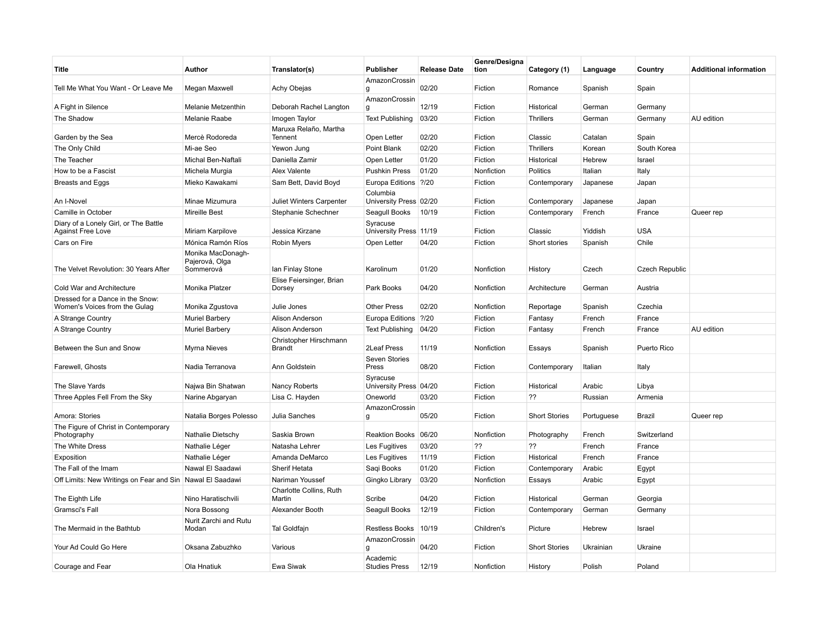| Title                                                             | Author                                           | Translator(s)                           | Publisher                          | <b>Release Date</b> | Genre/Designa<br>tion | Category (1)         | Language   | Country               | <b>Additional information</b> |
|-------------------------------------------------------------------|--------------------------------------------------|-----------------------------------------|------------------------------------|---------------------|-----------------------|----------------------|------------|-----------------------|-------------------------------|
| Tell Me What You Want - Or Leave Me                               | Megan Maxwell                                    | Achy Obejas                             | AmazonCrossin<br>g                 | 02/20               | Fiction               | Romance              | Spanish    | Spain                 |                               |
| A Fight in Silence                                                | Melanie Metzenthin                               | Deborah Rachel Langton                  | AmazonCrossin<br>g                 | 12/19               | Fiction               | Historical           | German     | Germany               |                               |
| The Shadow                                                        | Melanie Raabe                                    | Imogen Taylor                           | <b>Text Publishing</b>             | 03/20               | Fiction               | <b>Thrillers</b>     | German     | Germany               | AU edition                    |
| Garden by the Sea                                                 | Mercè Rodoreda                                   | Maruxa Relaño, Martha<br>Tennent        | Open Letter                        | 02/20               | Fiction               | Classic              | Catalan    | Spain                 |                               |
| The Only Child                                                    | Mi-ae Seo                                        | Yewon Jung                              | Point Blank                        | 02/20               | Fiction               | <b>Thrillers</b>     | Korean     | South Korea           |                               |
| The Teacher                                                       | Michal Ben-Naftali                               | Daniella Zamir                          | Open Letter                        | 01/20               | Fiction               | Historical           | Hebrew     | Israel                |                               |
| How to be a Fascist                                               | Michela Murgia                                   | Alex Valente                            | <b>Pushkin Press</b>               | 01/20               | Nonfiction            | Politics             | Italian    | Italy                 |                               |
| Breasts and Eggs                                                  | Mieko Kawakami                                   | Sam Bett, David Boyd                    | Europa Editions ?/20               |                     | Fiction               | Contemporary         | Japanese   | Japan                 |                               |
| An I-Novel                                                        | Minae Mizumura                                   | <b>Juliet Winters Carpenter</b>         | Columbia<br>University Press 02/20 |                     | Fiction               | Contemporary         | Japanese   | Japan                 |                               |
| Camille in October                                                | <b>Mireille Best</b>                             | Stephanie Schechner                     | Seagull Books                      | 10/19               | Fiction               | Contemporary         | French     | France                | Queer rep                     |
| Diary of a Lonely Girl, or The Battle<br><b>Against Free Love</b> | Miriam Karpilove                                 | Jessica Kirzane                         | Syracuse<br>University Press 11/19 |                     | Fiction               | Classic              | Yiddish    | <b>USA</b>            |                               |
| Cars on Fire                                                      | Mónica Ramón Ríos                                | <b>Robin Myers</b>                      | Open Letter                        | 04/20               | Fiction               | Short stories        | Spanish    | Chile                 |                               |
| The Velvet Revolution: 30 Years After                             | Monika MacDonagh-<br>Pajerová, Olga<br>Sommerová | lan Finlay Stone                        | Karolinum                          | 01/20               | Nonfiction            | History              | Czech      | <b>Czech Republic</b> |                               |
| Cold War and Architecture                                         | Monika Platzer                                   | Elise Feiersinger, Brian<br>Dorsey      | Park Books                         | 04/20               | Nonfiction            | Architecture         | German     | Austria               |                               |
| Dressed for a Dance in the Snow:<br>Women's Voices from the Gulag | Monika Zgustova                                  | Julie Jones                             | <b>Other Press</b>                 | 02/20               | Nonfiction            | Reportage            | Spanish    | Czechia               |                               |
| A Strange Country                                                 | <b>Muriel Barbery</b>                            | Alison Anderson                         | Europa Editions ?/20               |                     | Fiction               | Fantasy              | French     | France                |                               |
| A Strange Country                                                 | <b>Muriel Barbery</b>                            | Alison Anderson                         | <b>Text Publishing</b>             | 04/20               | Fiction               | Fantasy              | French     | France                | AU edition                    |
| Between the Sun and Snow                                          | Myrna Nieves                                     | Christopher Hirschmann<br><b>Brandt</b> | 2Leaf Press                        | 11/19               | Nonfiction            | Essays               | Spanish    | Puerto Rico           |                               |
| Farewell, Ghosts                                                  | Nadia Terranova                                  | Ann Goldstein                           | Seven Stories<br>Press             | 08/20               | Fiction               | Contemporary         | Italian    | Italy                 |                               |
| The Slave Yards                                                   | Najwa Bin Shatwan                                | Nancy Roberts                           | Syracuse<br>University Press 04/20 |                     | Fiction               | Historical           | Arabic     | Libya                 |                               |
| Three Apples Fell From the Sky                                    | Narine Abgaryan                                  | Lisa C. Hayden                          | Oneworld                           | 03/20               | Fiction               | ??                   | Russian    | Armenia               |                               |
| Amora: Stories                                                    | Natalia Borges Polesso                           | Julia Sanches                           | AmazonCrossin<br>$\mathbf{q}$      | 05/20               | Fiction               | <b>Short Stories</b> | Portuguese | Brazil                | Queer rep                     |
| The Figure of Christ in Contemporary<br>Photography               | Nathalie Dietschy                                | Saskia Brown                            | Reaktion Books 06/20               |                     | Nonfiction            | Photography          | French     | Switzerland           |                               |
| The White Dress                                                   | Nathalie Léger                                   | Natasha Lehrer                          | Les Fugitives                      | 03/20               | ??                    | ??                   | French     | France                |                               |
| Exposition                                                        | Nathalie Léger                                   | Amanda DeMarco                          | Les Fugitives                      | 11/19               | Fiction               | Historical           | French     | France                |                               |
| The Fall of the Imam                                              | Nawal El Saadawi                                 | <b>Sherif Hetata</b>                    | Saqi Books                         | 01/20               | Fiction               | Contemporary         | Arabic     | Egypt                 |                               |
| Off Limits: New Writings on Fear and Sin   Nawal El Saadawi       |                                                  | Nariman Youssef                         | Gingko Library                     | 03/20               | Nonfiction            | Essays               | Arabic     | Egypt                 |                               |
| The Eighth Life                                                   | Nino Haratischvili                               | Charlotte Collins, Ruth<br>Martin       | Scribe                             | 04/20               | Fiction               | Historical           | German     | Georgia               |                               |
| Gramsci's Fall                                                    | Nora Bossong                                     | Alexander Booth                         | Seagull Books                      | 12/19               | Fiction               | Contemporary         | German     | Germany               |                               |
| The Mermaid in the Bathtub                                        | Nurit Zarchi and Rutu<br>Modan                   | <b>Tal Goldfajn</b>                     | <b>Restless Books</b>              | 10/19               | Children's            | Picture              | Hebrew     | Israel                |                               |
| Your Ad Could Go Here                                             | Oksana Zabuzhko                                  | Various                                 | AmazonCrossin<br>$\mathbf{q}$      | 04/20               | Fiction               | <b>Short Stories</b> | Ukrainian  | Ukraine               |                               |
| Courage and Fear                                                  | Ola Hnatiuk                                      | Ewa Siwak                               | Academic<br><b>Studies Press</b>   | 12/19               | Nonfiction            | History              | Polish     | Poland                |                               |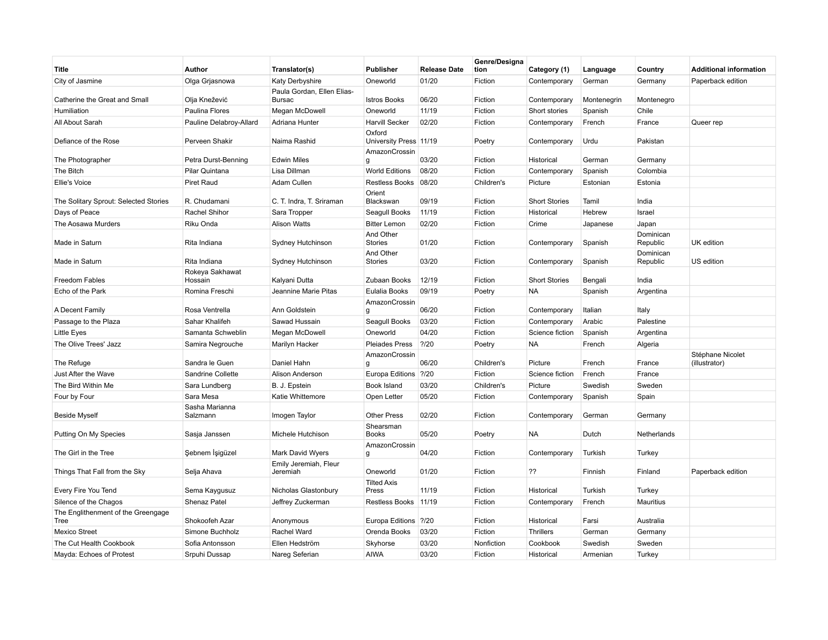| Title                                      | Author                     | Translator(s)                     | Publisher                        | <b>Release Date</b> | Genre/Designa<br>tion | Category (1)         | Language    | Country               | <b>Additional information</b>     |
|--------------------------------------------|----------------------------|-----------------------------------|----------------------------------|---------------------|-----------------------|----------------------|-------------|-----------------------|-----------------------------------|
| City of Jasmine                            | Olga Grjasnowa             | <b>Katy Derbyshire</b>            | Oneworld                         | 01/20               | Fiction               | Contemporary         | German      | Germany               | Paperback edition                 |
|                                            |                            | Paula Gordan, Ellen Elias-        |                                  |                     |                       |                      |             |                       |                                   |
| Catherine the Great and Small              | Olja Knežević              | <b>Bursac</b>                     | <b>Istros Books</b>              | 06/20               | Fiction               | Contemporary         | Montenegrin | Montenegro            |                                   |
| Humiliation                                | Paulina Flores             | Megan McDowell                    | Oneworld                         | 11/19               | Fiction               | Short stories        | Spanish     | Chile                 |                                   |
| All About Sarah                            | Pauline Delabroy-Allard    | Adriana Hunter                    | <b>Harvill Secker</b>            | 02/20               | Fiction               | Contemporary         | French      | France                | Queer rep                         |
| Defiance of the Rose                       | Perveen Shakir             | Naima Rashid                      | Oxford<br>University Press 11/19 |                     | Poetry                | Contemporary         | Urdu        | Pakistan              |                                   |
| The Photographer                           | Petra Durst-Benning        | <b>Edwin Miles</b>                | AmazonCrossin<br>g               | 03/20               | Fiction               | Historical           | German      | Germany               |                                   |
| The Bitch                                  | Pilar Quintana             | Lisa Dillman                      | <b>World Editions</b>            | 08/20               | Fiction               | Contemporary         | Spanish     | Colombia              |                                   |
| <b>Ellie's Voice</b>                       | Piret Raud                 | Adam Cullen                       | Restless Books                   | 08/20               | Children's            | Picture              | Estonian    | Estonia               |                                   |
| The Solitary Sprout: Selected Stories      | R. Chudamani               | C. T. Indra, T. Sriraman          | Orient<br>Blackswan              | 09/19               | Fiction               | <b>Short Stories</b> | Tamil       | India                 |                                   |
| Days of Peace                              | Rachel Shihor              | Sara Tropper                      | Seagull Books                    | 11/19               | Fiction               | Historical           | Hebrew      | Israel                |                                   |
| The Aosawa Murders                         | Riku Onda                  | <b>Alison Watts</b>               | <b>Bitter Lemon</b>              | 02/20               | Fiction               | Crime                | Japanese    | Japan                 |                                   |
| Made in Saturn                             | Rita Indiana               | Sydney Hutchinson                 | And Other<br>Stories             | 01/20               | Fiction               | Contemporary         | Spanish     | Dominican<br>Republic | UK edition                        |
| Made in Saturn                             | Rita Indiana               | Sydney Hutchinson                 | And Other<br><b>Stories</b>      | 03/20               | Fiction               | Contemporary         | Spanish     | Dominican<br>Republic | US edition                        |
| <b>Freedom Fables</b>                      | Rokeya Sakhawat<br>Hossain | Kalyani Dutta                     | Zubaan Books                     | 12/19               | Fiction               | <b>Short Stories</b> | Bengali     | India                 |                                   |
| Echo of the Park                           | Romina Freschi             | Jeannine Marie Pitas              | Eulalia Books                    | 09/19               | Poetry                | NA                   | Spanish     | Argentina             |                                   |
| A Decent Family                            | Rosa Ventrella             | Ann Goldstein                     | AmazonCrossin<br>g               | 06/20               | Fiction               | Contemporary         | Italian     | Italy                 |                                   |
| Passage to the Plaza                       | Sahar Khalifeh             | Sawad Hussain                     | Seagull Books                    | 03/20               | Fiction               | Contemporary         | Arabic      | Palestine             |                                   |
| Little Eyes                                | Samanta Schweblin          | Megan McDowell                    | Oneworld                         | 04/20               | Fiction               | Science fiction      | Spanish     | Argentina             |                                   |
| The Olive Trees' Jazz                      | Samira Negrouche           | Marilyn Hacker                    | Pleiades Press                   | ? / 20              | Poetry                | NA                   | French      | Algeria               |                                   |
| The Refuge                                 | Sandra le Guen             | Daniel Hahn                       | AmazonCrossin<br>a               | 06/20               | Children's            | Picture              | French      | France                | Stéphane Nicolet<br>(illustrator) |
| Just After the Wave                        | Sandrine Collette          | Alison Anderson                   | Europa Editions   ?/20           |                     | Fiction               | Science fiction      | French      | France                |                                   |
| The Bird Within Me                         | Sara Lundberg              | B. J. Epstein                     | Book Island                      | 03/20               | Children's            | Picture              | Swedish     | Sweden                |                                   |
| Four by Four                               | Sara Mesa                  | Katie Whittemore                  | Open Letter                      | 05/20               | Fiction               | Contemporary         | Spanish     | Spain                 |                                   |
| <b>Beside Myself</b>                       | Sasha Marianna<br>Salzmann | Imogen Taylor                     | <b>Other Press</b>               | 02/20               | Fiction               | Contemporary         | German      | Germany               |                                   |
| Putting On My Species                      | Sasja Janssen              | Michele Hutchison                 | Shearsman<br><b>Books</b>        | 05/20               | Poetry                | <b>NA</b>            | Dutch       | Netherlands           |                                   |
| The Girl in the Tree                       | Şebnem İşigüzel            | Mark David Wyers                  | AmazonCrossin<br>q               | 04/20               | Fiction               | Contemporary         | Turkish     | Turkey                |                                   |
| Things That Fall from the Sky              | Selja Ahava                | Emily Jeremiah, Fleur<br>Jeremiah | Oneworld                         | 01/20               | Fiction               | ??                   | Finnish     | Finland               | Paperback edition                 |
| Every Fire You Tend                        | Sema Kaygusuz              | Nicholas Glastonbury              | <b>Tilted Axis</b><br>Press      | 11/19               | Fiction               | Historical           | Turkish     | Turkey                |                                   |
| Silence of the Chagos                      | Shenaz Patel               | Jeffrey Zuckerman                 | Restless Books 11/19             |                     | Fiction               | Contemporary         | French      | Mauritius             |                                   |
| The Englithenment of the Greengage<br>Tree | Shokoofeh Azar             | Anonymous                         | Europa Editions                  | ? / 20              | Fiction               | Historical           | Farsi       | Australia             |                                   |
| Mexico Street                              | Simone Buchholz            | Rachel Ward                       | Orenda Books                     | 03/20               | Fiction               | <b>Thrillers</b>     | German      | Germany               |                                   |
| The Cut Health Cookbook                    | Sofia Antonsson            | Ellen Hedström                    | Skyhorse                         | 03/20               | Nonfiction            | Cookbook             | Swedish     | Sweden                |                                   |
| Mayda: Echoes of Protest                   | Srpuhi Dussap              | Nareg Seferian                    | <b>AIWA</b>                      | 03/20               | Fiction               | Historical           | Armenian    | Turkey                |                                   |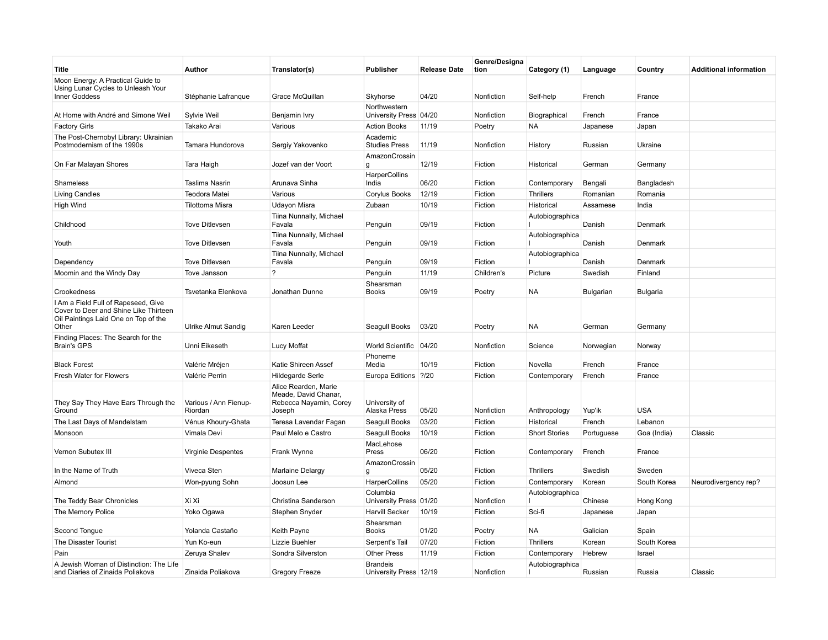| Title                                                                                                                         | Author                           | Translator(s)                                                                    | <b>Publisher</b>                          | <b>Release Date</b> | Genre/Designa<br>tion | Category (1)         | Language   | Country     | <b>Additional information</b> |
|-------------------------------------------------------------------------------------------------------------------------------|----------------------------------|----------------------------------------------------------------------------------|-------------------------------------------|---------------------|-----------------------|----------------------|------------|-------------|-------------------------------|
| Moon Energy: A Practical Guide to<br>Using Lunar Cycles to Unleash Your<br>Inner Goddess                                      | Stéphanie Lafranque              | Grace McQuillan                                                                  | Skyhorse                                  | 04/20               | Nonfiction            | Self-help            | French     | France      |                               |
| At Home with André and Simone Weil                                                                                            | Sylvie Weil                      | Benjamin Ivry                                                                    | Northwestern<br>University Press 04/20    |                     | Nonfiction            | Biographical         | French     | France      |                               |
| <b>Factory Girls</b>                                                                                                          | Takako Arai                      | Various                                                                          | <b>Action Books</b>                       | 11/19               | Poetry                | NA                   | Japanese   | Japan       |                               |
| The Post-Chernobyl Library: Ukrainian                                                                                         |                                  |                                                                                  | Academic                                  |                     |                       |                      |            |             |                               |
| Postmodernism of the 1990s                                                                                                    | Tamara Hundorova                 | Sergiy Yakovenko                                                                 | <b>Studies Press</b>                      | 11/19               | Nonfiction            | History              | Russian    | Ukraine     |                               |
| On Far Malayan Shores                                                                                                         | Tara Haigh                       | Jozef van der Voort                                                              | AmazonCrossin<br>g                        | 12/19               | Fiction               | Historical           | German     | Germany     |                               |
| Shameless                                                                                                                     | Taslima Nasrin                   | Arunava Sinha                                                                    | HarperCollins<br>India                    | 06/20               | Fiction               | Contemporary         | Bengali    | Bangladesh  |                               |
| <b>Living Candles</b>                                                                                                         | Teodora Matei                    | Various                                                                          | Corylus Books                             | 12/19               | Fiction               | <b>Thrillers</b>     | Romanian   | Romania     |                               |
| <b>High Wind</b>                                                                                                              | <b>Tilottoma Misra</b>           | <b>Udayon Misra</b>                                                              | Zubaan                                    | 10/19               | Fiction               | Historical           | Assamese   | India       |                               |
| Childhood                                                                                                                     | <b>Tove Ditlevsen</b>            | Tiina Nunnally, Michael<br>Favala                                                | Penguin                                   | 09/19               | Fiction               | Autobiographica      | Danish     | Denmark     |                               |
| Youth                                                                                                                         | <b>Tove Ditlevsen</b>            | Tiina Nunnally, Michael<br>Favala                                                | Penguin                                   | 09/19               | Fiction               | Autobiographica      | Danish     | Denmark     |                               |
| Dependency                                                                                                                    | <b>Tove Ditlevsen</b>            | Tiina Nunnally, Michael<br>Favala                                                | Penguin                                   | 09/19               | Fiction               | Autobiographica      | Danish     | Denmark     |                               |
| Moomin and the Windy Day                                                                                                      | Tove Jansson                     | $\gamma$                                                                         | Penguin                                   | 11/19               | Children's            | Picture              | Swedish    | Finland     |                               |
| Crookedness                                                                                                                   | Tsvetanka Elenkova               | Jonathan Dunne                                                                   | Shearsman<br><b>Books</b>                 | 09/19               | Poetry                | NA                   | Bulgarian  | Bulgaria    |                               |
| I Am a Field Full of Rapeseed, Give<br>Cover to Deer and Shine Like Thirteen<br>Oil Paintings Laid One on Top of the<br>Other | Ulrike Almut Sandig              | Karen Leeder                                                                     | Seagull Books                             | 03/20               | Poetry                | NA                   | German     | Germany     |                               |
| Finding Places: The Search for the<br><b>Brain's GPS</b>                                                                      | Unni Eikeseth                    | Lucy Moffat                                                                      | World Scientific 04/20                    |                     | Nonfiction            | Science              | Norwegian  | Norway      |                               |
| <b>Black Forest</b>                                                                                                           | Valérie Mréjen                   | Katie Shireen Assef                                                              | Phoneme<br>Media                          | 10/19               | Fiction               | Novella              | French     | France      |                               |
| Fresh Water for Flowers                                                                                                       | Valérie Perrin                   | Hildegarde Serle                                                                 | Europa Editions ?/20                      |                     | Fiction               | Contemporary         | French     | France      |                               |
| They Say They Have Ears Through the<br>Ground                                                                                 | Various / Ann Fienup-<br>Riordan | Alice Rearden, Marie<br>Meade, David Chanar,<br>Rebecca Nayamin, Corey<br>Joseph | University of<br>Alaska Press             | 05/20               | Nonfiction            | Anthropology         | Yup'ik     | <b>USA</b>  |                               |
| The Last Days of Mandelstam                                                                                                   | Vénus Khoury-Ghata               | Teresa Lavendar Fagan                                                            | Seagull Books                             | 03/20               | Fiction               | Historical           | French     | Lebanon     |                               |
| Monsoon                                                                                                                       | Vimala Devi                      | Paul Melo e Castro                                                               | Seagull Books                             | 10/19               | Fiction               | <b>Short Stories</b> | Portuguese | Goa (India) | Classic                       |
|                                                                                                                               |                                  |                                                                                  | MacLehose                                 |                     |                       |                      |            |             |                               |
| Vernon Subutex III                                                                                                            | Virginie Despentes               | Frank Wynne                                                                      | Press                                     | 06/20               | Fiction               | Contemporary         | French     | France      |                               |
| In the Name of Truth                                                                                                          | Viveca Sten                      | Marlaine Delargy                                                                 | AmazonCrossin<br>g                        | 05/20               | Fiction               | <b>Thrillers</b>     | Swedish    | Sweden      |                               |
| Almond                                                                                                                        | Won-pyung Sohn                   | Joosun Lee                                                                       | HarperCollins                             | 05/20               | Fiction               | Contemporary         | Korean     | South Korea | Neurodivergency rep?          |
| The Teddy Bear Chronicles                                                                                                     | Xi Xi                            | Christina Sanderson                                                              | Columbia<br>University Press 01/20        |                     | Nonfiction            | Autobiographica      | Chinese    | Hong Kong   |                               |
| The Memory Police                                                                                                             | Yoko Ogawa                       | Stephen Snyder                                                                   | <b>Harvill Secker</b>                     | 10/19               | Fiction               | Sci-fi               | Japanese   | Japan       |                               |
| Second Tongue                                                                                                                 | Yolanda Castaño                  | Keith Payne                                                                      | Shearsman<br><b>Books</b>                 | 01/20               | Poetry                | NA                   | Galician   | Spain       |                               |
| The Disaster Tourist                                                                                                          | Yun Ko-eun                       | Lizzie Buehler                                                                   | Serpent's Tail                            | 07/20               | Fiction               | <b>Thrillers</b>     | Korean     | South Korea |                               |
| Pain                                                                                                                          | Zeruya Shalev                    | Sondra Silverston                                                                | <b>Other Press</b>                        | 11/19               | Fiction               | Contemporary         | Hebrew     | Israel      |                               |
| A Jewish Woman of Distinction: The Life<br>and Diaries of Zinaida Poliakova                                                   | Zinaida Poliakova                | Gregory Freeze                                                                   | <b>Brandeis</b><br>University Press 12/19 |                     | Nonfiction            | Autobiographica      | Russian    | Russia      | Classic                       |